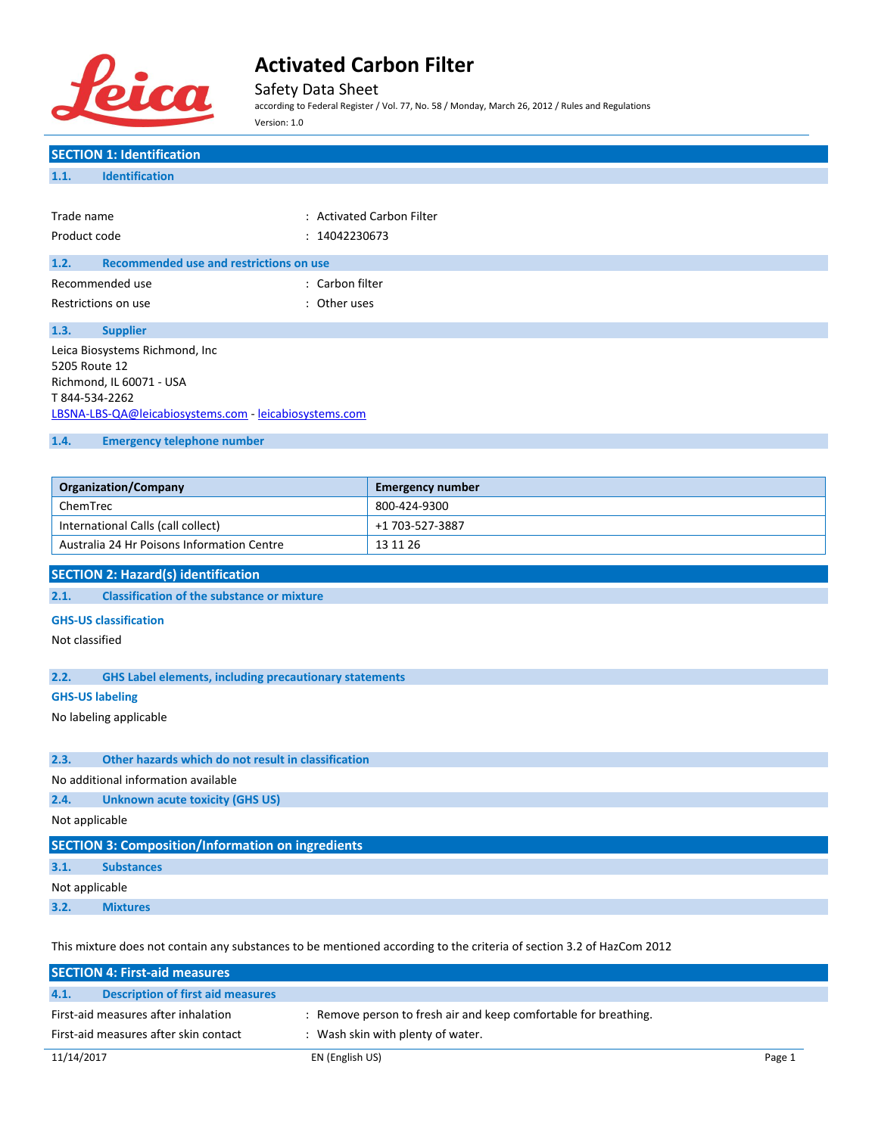

Safety Data Sheet

according to Federal Register / Vol. 77, No. 58 / Monday, March 26, 2012 / Rules and Regulations Version: 1.0

### **SECTION 1: Identification 1.1. Identification** Trade name : Activated Carbon Filter Product code : 14042230673 **1.2. Recommended use and restrictions on use** Recommended use : Carbon filter Restrictions on use the set of the set of the set of the set of the set of the set of the set of the set of the set of the set of the set of the set of the set of the set of the set of the set of the set of the set of the **1.3. Supplier** Leica Biosystems Richmond, Inc 5205 Route 12 Richmond, IL 60071 - USA T 844-534-2262 [LBSNA-LBS-QA@leicabiosystems.com](mailto:LBSNA-LBS-QA@leicabiosystems.com) - <leicabiosystems.com> **1.4. Emergency telephone number Organization/Company Emergency number** ChemTrec 800-424-9300 International Calls (call collect) +1 703-527-3887 Australia 24 Hr Poisons Information Centre 13 11 26 **SECTION 2: Hazard(s) identification 2.1. Classification of the substance or mixture GHS-US classification** Not classified **2.2. GHS Label elements, including precautionary statements GHS-US labeling** No labeling applicable **2.3. Other hazards which do not result in classification** No additional information available **2.4. Unknown acute toxicity (GHS US)** Not applicable **SECTION 3: Composition/Information on ingredients**

**3.1. Substances**

Not applicable

**3.2. Mixtures**

This mixture does not contain any substances to be mentioned according to the criteria of section 3.2 of HazCom 2012

|                                       | <b>SECTION 4: First-aid measures</b> |                                                                  |        |
|---------------------------------------|--------------------------------------|------------------------------------------------------------------|--------|
| 4.1.                                  | Description of first aid measures    |                                                                  |        |
| First-aid measures after inhalation   |                                      | : Remove person to fresh air and keep comfortable for breathing. |        |
| First-aid measures after skin contact |                                      | : Wash skin with plenty of water.                                |        |
| 11/14/2017                            |                                      | EN (English US)                                                  | Page 1 |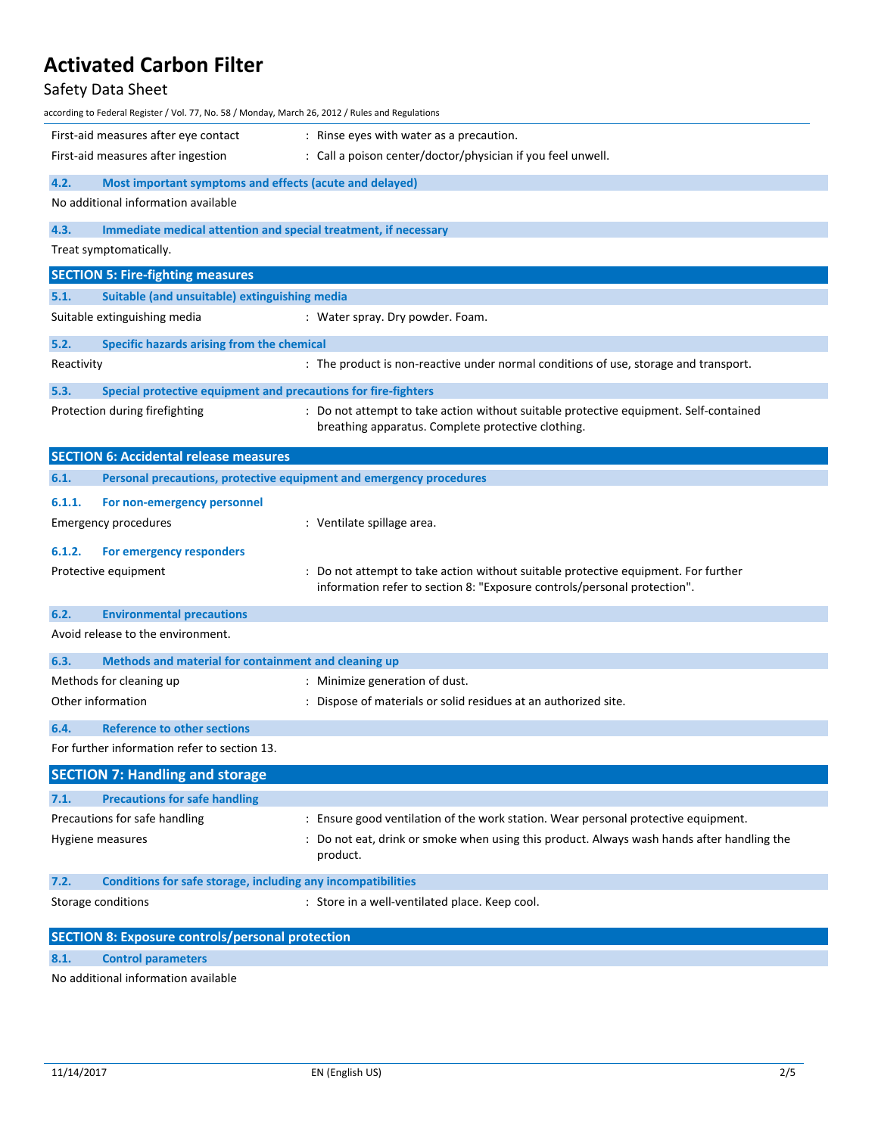### Safety Data Sheet

| according to Federal Register / Vol. 77, No. 58 / Monday, March 26, 2012 / Rules and Regulations |                                                                                                                                                                |  |  |
|--------------------------------------------------------------------------------------------------|----------------------------------------------------------------------------------------------------------------------------------------------------------------|--|--|
| First-aid measures after eye contact                                                             | : Rinse eyes with water as a precaution.                                                                                                                       |  |  |
| First-aid measures after ingestion                                                               | : Call a poison center/doctor/physician if you feel unwell.                                                                                                    |  |  |
| 4.2.                                                                                             | Most important symptoms and effects (acute and delayed)                                                                                                        |  |  |
| No additional information available                                                              |                                                                                                                                                                |  |  |
| 4.3.                                                                                             | Immediate medical attention and special treatment, if necessary                                                                                                |  |  |
| Treat symptomatically.                                                                           |                                                                                                                                                                |  |  |
| <b>SECTION 5: Fire-fighting measures</b>                                                         |                                                                                                                                                                |  |  |
| 5.1.<br>Suitable (and unsuitable) extinguishing media                                            |                                                                                                                                                                |  |  |
| Suitable extinguishing media                                                                     | : Water spray. Dry powder. Foam.                                                                                                                               |  |  |
| 5.2.<br>Specific hazards arising from the chemical                                               |                                                                                                                                                                |  |  |
| Reactivity                                                                                       | : The product is non-reactive under normal conditions of use, storage and transport.                                                                           |  |  |
|                                                                                                  |                                                                                                                                                                |  |  |
| 5.3.<br>Protection during firefighting                                                           | Special protective equipment and precautions for fire-fighters<br>: Do not attempt to take action without suitable protective equipment. Self-contained        |  |  |
|                                                                                                  | breathing apparatus. Complete protective clothing.                                                                                                             |  |  |
| <b>SECTION 6: Accidental release measures</b>                                                    |                                                                                                                                                                |  |  |
| 6.1.                                                                                             | Personal precautions, protective equipment and emergency procedures                                                                                            |  |  |
|                                                                                                  |                                                                                                                                                                |  |  |
| 6.1.1.<br>For non-emergency personnel<br><b>Emergency procedures</b>                             | : Ventilate spillage area.                                                                                                                                     |  |  |
|                                                                                                  |                                                                                                                                                                |  |  |
| 6.1.2.<br>For emergency responders                                                               |                                                                                                                                                                |  |  |
| Protective equipment                                                                             | : Do not attempt to take action without suitable protective equipment. For further<br>information refer to section 8: "Exposure controls/personal protection". |  |  |
|                                                                                                  |                                                                                                                                                                |  |  |
| 6.2.<br><b>Environmental precautions</b>                                                         |                                                                                                                                                                |  |  |
| Avoid release to the environment.                                                                |                                                                                                                                                                |  |  |
| 6.3.<br>Methods and material for containment and cleaning up                                     |                                                                                                                                                                |  |  |
| Methods for cleaning up                                                                          | : Minimize generation of dust.                                                                                                                                 |  |  |
| Other information                                                                                | : Dispose of materials or solid residues at an authorized site.                                                                                                |  |  |
| <b>Reference to other sections</b><br>6.4.                                                       |                                                                                                                                                                |  |  |
| For further information refer to section 13.                                                     |                                                                                                                                                                |  |  |
| <b>SECTION 7: Handling and storage</b>                                                           |                                                                                                                                                                |  |  |
| <b>Precautions for safe handling</b><br>7.1.                                                     |                                                                                                                                                                |  |  |
| Precautions for safe handling                                                                    | : Ensure good ventilation of the work station. Wear personal protective equipment.                                                                             |  |  |
| Hygiene measures                                                                                 | : Do not eat, drink or smoke when using this product. Always wash hands after handling the<br>product.                                                         |  |  |
| 7.2.                                                                                             | Conditions for safe storage, including any incompatibilities                                                                                                   |  |  |
| Storage conditions                                                                               | : Store in a well-ventilated place. Keep cool.                                                                                                                 |  |  |
| <b>SECTION 8: Exposure controls/personal protection</b>                                          |                                                                                                                                                                |  |  |
| 8.1.<br><b>Control parameters</b>                                                                |                                                                                                                                                                |  |  |
|                                                                                                  |                                                                                                                                                                |  |  |

No additional information available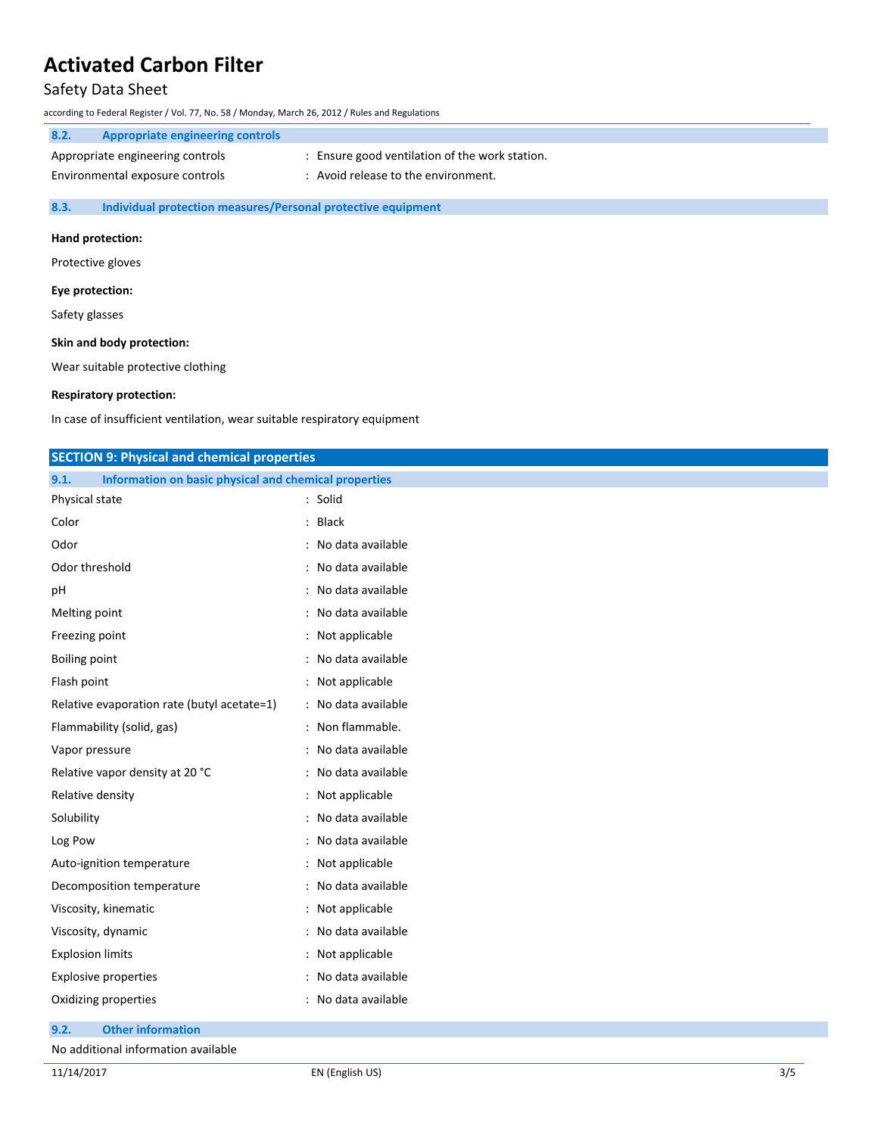#### Safety Data Sheet

according to Federal Register / Vol. 77, No. 58 / Monday, March 26, 2012 / Rules and Regulations

| 8.2.                            | Appropriate engineering controls |                                                |
|---------------------------------|----------------------------------|------------------------------------------------|
|                                 | Appropriate engineering controls | : Ensure good ventilation of the work station. |
| Environmental exposure controls |                                  | Avoid release to the environment.              |
|                                 |                                  |                                                |

**8.3. Individual protection measures/Personal protective equipment**

#### **Hand protection:**

Protective gloves

#### **Eye protection:**

Safety glasses

#### **Skin and body protection:**

Wear suitable protective clothing

#### **Respiratory protection:**

In case of insufficient ventilation, wear suitable respiratory equipment

| <b>SECTION 9: Physical and chemical properties</b>            |                     |
|---------------------------------------------------------------|---------------------|
| Information on basic physical and chemical properties<br>9.1. |                     |
| Physical state                                                | : Solid             |
| Color                                                         | : Black             |
| Odor                                                          | : No data available |
| Odor threshold                                                | : No data available |
| pH                                                            | : No data available |
| Melting point                                                 | : No data available |
| Freezing point                                                | : Not applicable    |
| <b>Boiling point</b>                                          | : No data available |
| Flash point                                                   | : Not applicable    |
| Relative evaporation rate (butyl acetate=1)                   | : No data available |
| Flammability (solid, gas)                                     | : Non flammable.    |
| Vapor pressure                                                | : No data available |
| Relative vapor density at 20 °C                               | : No data available |
| Relative density                                              | : Not applicable    |
| Solubility                                                    | : No data available |
| Log Pow                                                       | : No data available |
| Auto-ignition temperature                                     | : Not applicable    |
| Decomposition temperature                                     | : No data available |
| Viscosity, kinematic                                          | : Not applicable    |
| Viscosity, dynamic                                            | : No data available |
| <b>Explosion limits</b>                                       | : Not applicable    |
| <b>Explosive properties</b>                                   | : No data available |
| Oxidizing properties                                          | : No data available |

#### **9.2. Other information**

No additional information available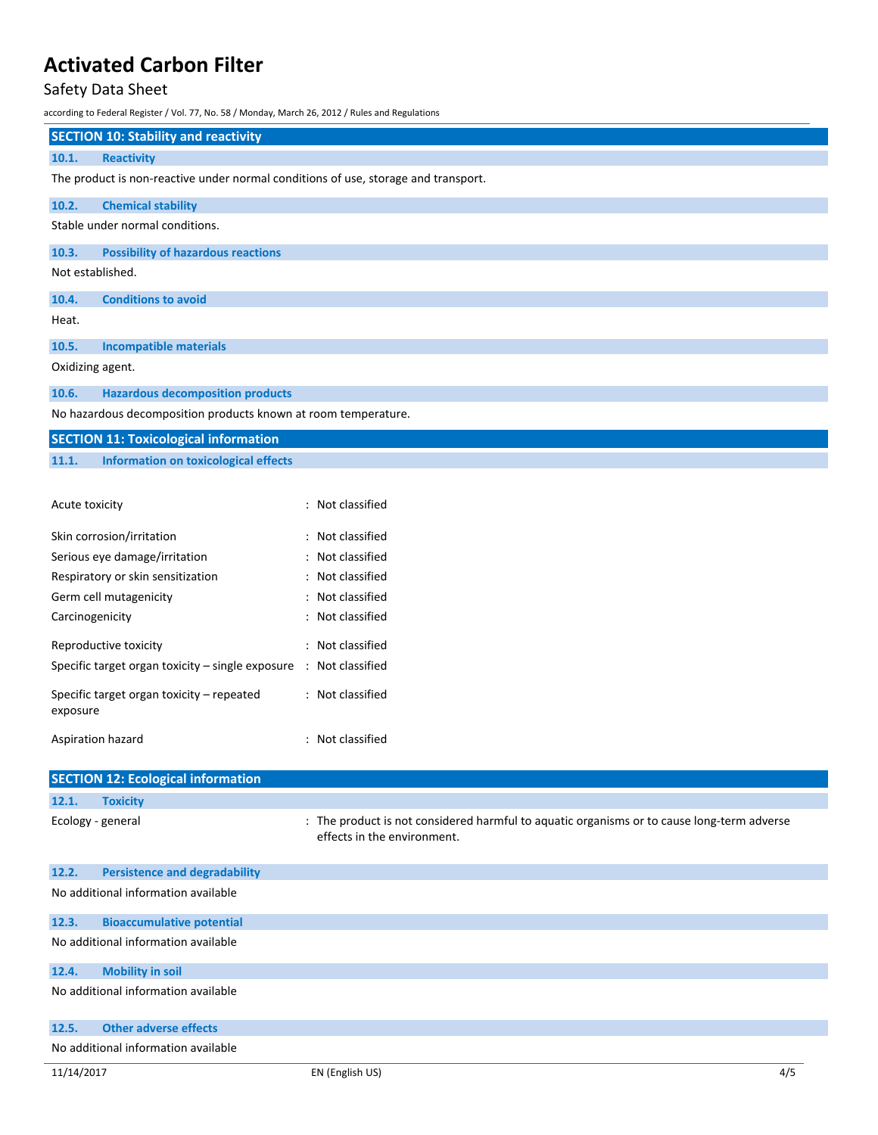### Safety Data Sheet

according to Federal Register / Vol. 77, No. 58 / Monday, March 26, 2012 / Rules and Regulations

| <b>SECTION 10: Stability and reactivity</b>                                        |                                           |  |  |
|------------------------------------------------------------------------------------|-------------------------------------------|--|--|
| 10.1.                                                                              | <b>Reactivity</b>                         |  |  |
| The product is non-reactive under normal conditions of use, storage and transport. |                                           |  |  |
| 10.2.                                                                              | <b>Chemical stability</b>                 |  |  |
| Stable under normal conditions.                                                    |                                           |  |  |
| 10.3.                                                                              | <b>Possibility of hazardous reactions</b> |  |  |
| Not established.                                                                   |                                           |  |  |
| 10.4.                                                                              | <b>Conditions to avoid</b>                |  |  |
| Heat.                                                                              |                                           |  |  |
| 10.5.                                                                              | <b>Incompatible materials</b>             |  |  |
| Oxidizing agent.                                                                   |                                           |  |  |
| 10.6.                                                                              | <b>Hazardous decomposition products</b>   |  |  |

No hazardous decomposition products known at room temperature.

|       | <b>SECTION 11: Toxicological information</b> |  |  |  |  |
|-------|----------------------------------------------|--|--|--|--|
| 11.1. | <b>Information on toxicological effects</b>  |  |  |  |  |

| Acute toxicity                                                               | : Not classified |
|------------------------------------------------------------------------------|------------------|
| Skin corrosion/irritation                                                    | : Not classified |
| Serious eye damage/irritation                                                | : Not classified |
| Respiratory or skin sensitization                                            | : Not classified |
| Germ cell mutagenicity                                                       | : Not classified |
| Carcinogenicity                                                              | : Not classified |
| Reproductive toxicity                                                        | : Not classified |
| Specific target organ toxicity – single exposure $\therefore$ Not classified |                  |
| Specific target organ toxicity – repeated<br>exposure                        | : Not classified |
| Aspiration hazard                                                            | : Not classified |

|                                     | <b>SECTION 12: Ecological information</b> |                                                                                                                           |
|-------------------------------------|-------------------------------------------|---------------------------------------------------------------------------------------------------------------------------|
| 12.1.                               | <b>Toxicity</b>                           |                                                                                                                           |
|                                     | Ecology - general                         | : The product is not considered harmful to aquatic organisms or to cause long-term adverse<br>effects in the environment. |
| 12.2.                               | <b>Persistence and degradability</b>      |                                                                                                                           |
| No additional information available |                                           |                                                                                                                           |
| 12.3.                               | <b>Bioaccumulative potential</b>          |                                                                                                                           |
| No additional information available |                                           |                                                                                                                           |
| 12.4.                               | <b>Mobility in soil</b>                   |                                                                                                                           |
|                                     | No additional information available       |                                                                                                                           |
| 12.5.                               | <b>Other adverse effects</b>              |                                                                                                                           |
| No additional information available |                                           |                                                                                                                           |